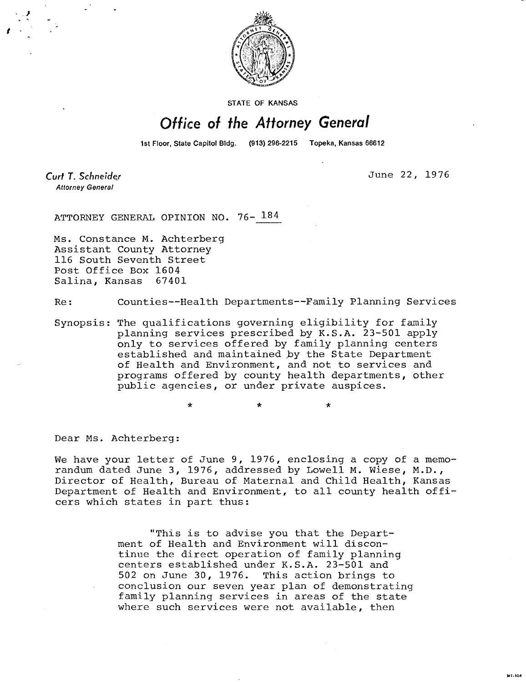

**STATE OF KANSAS** 

## Office of the Attorney General

1st Floor, State Capitol Bldg. (913) 296-2215 Topeka, Kansas 66612

Curt T. Schneider **Attorney General** 

June 22, 1976

MI-104

ATTORNEY GENERAL OPINION NO. 76- 184

Ms. Constance M. Achterberg Assistant County Attorney 116 South Seventh Street Post Office Box 1604 Salina, Kansas 67401

Re: Counties--Health Departments--Family Planning Services

Synopsis: The qualifications governing eligibility for family planning services prescribed by K.S.A. 23-501 apply only to services offered by family planning centers established and maintained by the State Department of Health and Environment, and not to services and programs offered by county health departments, other public agencies, or under private auspices.

Dear Ms. Achterberg:

We have your letter of June 9, 1976, enclosing a copy of a memorandum dated June 3, 1976, addressed by Lowell M. Wiese, M.D., Director of Health, Bureau of Maternal and Child Health, Kansas Department of Health and Environment, to all county health officers which states in part thus:

> "This is to advise you that the Department of Health and Environment will discontinue the direct operation of family planning centers established under K.S.A. 23-501 and 502 on June 30, 1976. This action brings to conclusion our seven year plan of demonstrating family planning services in areas of the state where such services were not available, then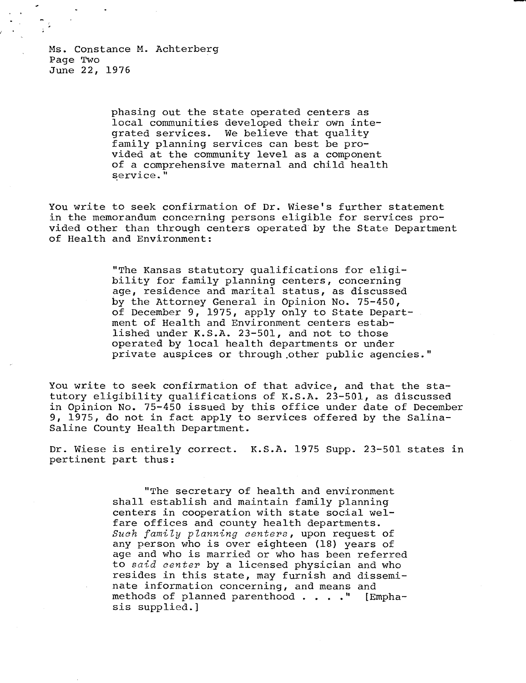Ms. Constance M. Achterberg Page Two June 22, 1976

> phasing out the state operated centers as local communities developed their own integrated services. We believe that quality family planning services can best be provided at the community level as a component of a comprehensive maternal and child health service."

You write to seek confirmation of Dr. Wiese's further statement in the memorandum concerning persons eligible for services provided other than through centers operated by the State Department of Health and Environment:

> "The Kansas statutory qualifications for eligibility for family planning centers, concerning age, residence and marital status, as discussed by the Attorney General in Opinion No. 75-450, of December 9, 1975, apply only to State Department of Health and Environment centers established under K.S.A. 23-501, and not to those operated by local health departments or under private auspices or through other public agencies."

You write to seek confirmation of that advice, and that the statutory eligibility qualifications of K.S.A. 23-501, as discussed in Opinion No. 75-450 issued by this office under date of December 9, 1975, do not in fact apply to services offered by the Salina-Saline County Health Department.

Dr. Wiese is entirely correct. K.S.A. 1975 Supp. 23-501 states in pertinent part thus:

> "The secretary of health and environment shall establish and maintain family planning centers in cooperation with state social welfare offices and county health departments. Such family planning centers, upon request of any person who is over eighteen (18) years of age and who is married or who has been referred to said center by a licensed physician and who resides in this state, may furnish and disseminate information concerning, and means and methods of planned parenthood . . . ." [Emphasis supplied.]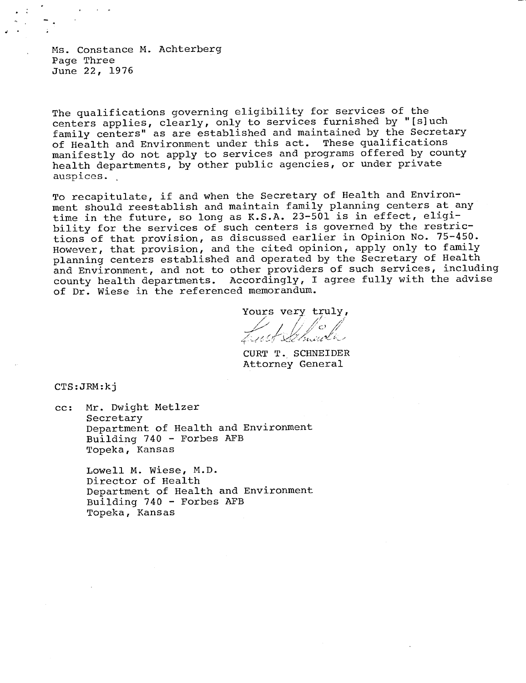Ms. Constance M. Achterberg Page Three June 22, 1976

The qualifications governing eligibility for services of the centers applies, clearly, only to services furnished by "[s]uch family centers" as are established and maintained by the Secretary of Health and Environment under this act. These qualifications manifestly do not apply to services and programs offered by county health departments, by other public agencies, or under private auspices.

To recapitulate, if and when the Secretary of Health and Environment should reestablish and maintain family planning centers at any time in the future, so long as K.S.A. 23-501 is in effect, eligibility for the services of such centers is governed by the restrictions of that provision, as discussed earlier in Opinion No. 75-450. However, that provision, and the cited opinion, apply only to family planning centers established and operated by the Secretary of Health and Environment, and not to other providers of such services, including county health departments. Accordingly, I agree fully with the advise of Dr. Wiese in the referenced memorandum.

Yours very truly,

CURT T. SCHNEIDER Attorney General

CTS:JRM:kj

cc: Mr. Dwight Metlzer Secretary Department of Health and Environment Building 740 - Forbes AFB Topeka, Kansas

> Lowell M. Wiese, M.D. Director of Health Department of Health and Environment Building 740 - Forbes AFB Topeka, Kansas